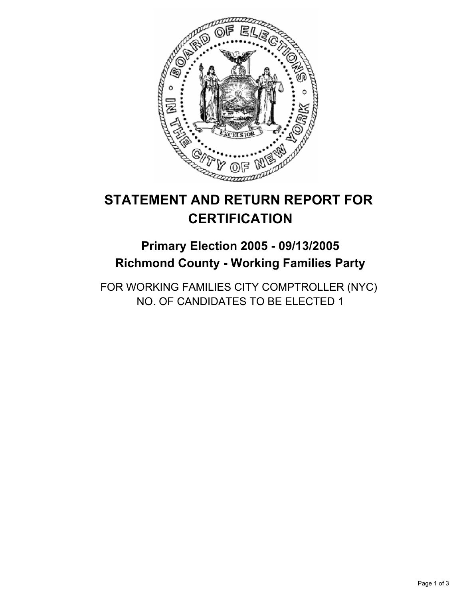

# **STATEMENT AND RETURN REPORT FOR CERTIFICATION**

# **Primary Election 2005 - 09/13/2005 Richmond County - Working Families Party**

FOR WORKING FAMILIES CITY COMPTROLLER (NYC) NO. OF CANDIDATES TO BE ELECTED 1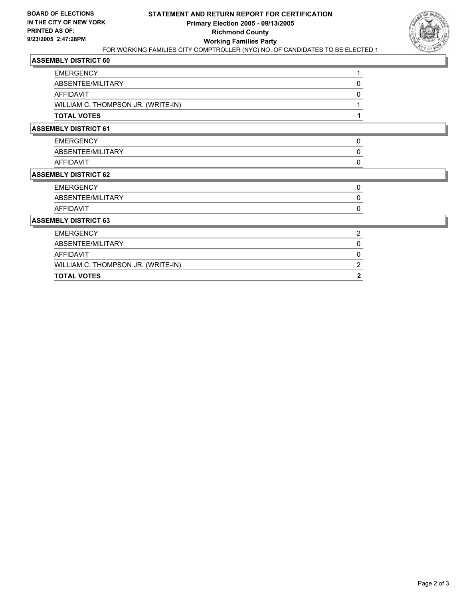

### **ASSEMBLY DISTRICT 60**

| <b>EMERGENCY</b>                   |  |
|------------------------------------|--|
| ABSENTEE/MILITARY                  |  |
| AFFIDAVIT                          |  |
| WILLIAM C. THOMPSON JR. (WRITE-IN) |  |
| <b>TOTAL VOTES</b>                 |  |

#### **ASSEMBLY DISTRICT 61**

| <b>EMERGENCY</b>  |  |
|-------------------|--|
| ABSENTEE/MILITARY |  |
| AFFIDAVIT         |  |

#### **ASSEMBLY DISTRICT 62**

| <b>EMERGENCY</b>  |  |
|-------------------|--|
| ABSENTEE/MILITARY |  |
| <b>AFFIDAVIT</b>  |  |

## **ASSEMBLY DISTRICT 63**

| EMERGENCY                          |  |
|------------------------------------|--|
| ABSENTEE/MILITARY                  |  |
| AFFIDAVIT                          |  |
| WILLIAM C. THOMPSON JR. (WRITE-IN) |  |
| <b>TOTAL VOTES</b>                 |  |